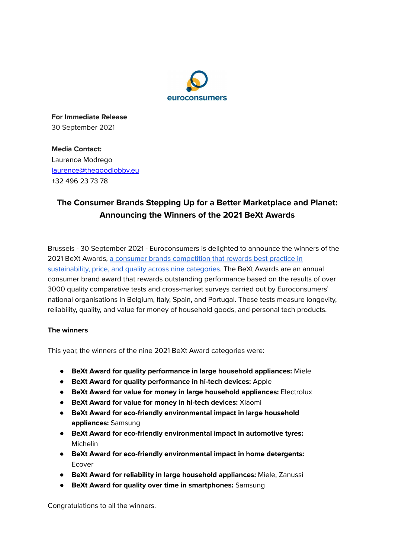

**For Immediate Release** 30 September 2021

**Media Contact:** Laurence Modrego [laurence@thegoodlobby.eu](mailto:laurence@thegoodlobby.eu) +32 496 23 73 78

## **The Consumer Brands Stepping Up for a Better Marketplace and Planet: Announcing the Winners of the 2021 BeXt Awards**

Brussels - 30 September 2021 - Euroconsumers is delighted to announce the winners of the 2021 BeXt Awards, a consumer brands [competition](https://www.euroconsumers.org/activities/euroconsumers-bext-awards-2021) that rewards best practice in [sustainability,](https://www.euroconsumers.org/activities/euroconsumers-bext-awards-2021) price, and quality across nine categories. The BeXt Awards are an annual consumer brand award that rewards outstanding performance based on the results of over 3000 quality comparative tests and cross-market surveys carried out by Euroconsumers' national organisations in Belgium, Italy, Spain, and Portugal. These tests measure longevity, reliability, quality, and value for money of household goods, and personal tech products.

## **The winners**

This year, the winners of the nine 2021 BeXt Award categories were:

- **BeXt Award for quality performance in large household appliances:** Miele
- **BeXt Award for quality performance in hi-tech devices:** Apple
- **BeXt Award for value for money in large household appliances:** Electrolux
- **BeXt Award for value for money in hi-tech devices:** Xiaomi
- **● BeXt Award for eco-friendly environmental impact in large household appliances:** Samsung
- **● BeXt Award for eco-friendly environmental impact in automotive tyres:** Michelin
- **● BeXt Award for eco-friendly environmental impact in home detergents:** Ecover
- **BeXt Award for reliability in large household appliances:** Miele, Zanussi
- **BeXt Award for quality over time in smartphones:** Samsung

Congratulations to all the winners.